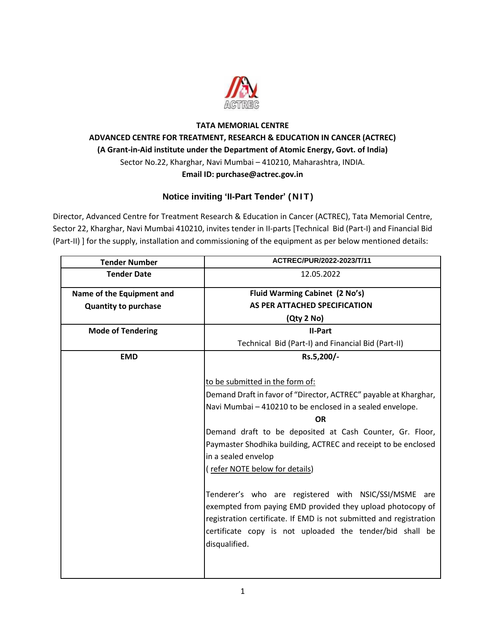

# **TATA MEMORIAL CENTRE ADVANCED CENTRE FOR TREATMENT, RESEARCH & EDUCATION IN CANCER (ACTREC) (A Grant-in-Aid institute under the Department of Atomic Energy, Govt. of India)** Sector No.22, Kharghar, Navi Mumbai – 410210, Maharashtra, INDIA. **Email ID: purchase@actrec.gov.in**

# **Notice inviting 'II-Part Tender' (NIT)**

Director, Advanced Centre for Treatment Research & Education in Cancer (ACTREC), Tata Memorial Centre, Sector 22, Kharghar, Navi Mumbai 410210, invites tender in II-parts [Technical Bid (Part-I) and Financial Bid (Part-II) ] for the supply, installation and commissioning of the equipment as per below mentioned details:

| <b>Tender Number</b>        | ACTREC/PUR/2022-2023/T/11                                          |  |  |  |  |
|-----------------------------|--------------------------------------------------------------------|--|--|--|--|
| <b>Tender Date</b>          | 12.05.2022                                                         |  |  |  |  |
| Name of the Equipment and   | Fluid Warming Cabinet (2 No's)                                     |  |  |  |  |
| <b>Quantity to purchase</b> | AS PER ATTACHED SPECIFICATION                                      |  |  |  |  |
|                             | (Qty 2 No)                                                         |  |  |  |  |
| <b>Mode of Tendering</b>    | <b>II-Part</b>                                                     |  |  |  |  |
|                             | Technical Bid (Part-I) and Financial Bid (Part-II)                 |  |  |  |  |
| <b>EMD</b>                  | Rs.5,200/-                                                         |  |  |  |  |
|                             |                                                                    |  |  |  |  |
|                             | to be submitted in the form of:                                    |  |  |  |  |
|                             | Demand Draft in favor of "Director, ACTREC" payable at Kharghar,   |  |  |  |  |
|                             | Navi Mumbai - 410210 to be enclosed in a sealed envelope.          |  |  |  |  |
|                             | <b>OR</b>                                                          |  |  |  |  |
|                             | Demand draft to be deposited at Cash Counter, Gr. Floor,           |  |  |  |  |
|                             | Paymaster Shodhika building, ACTREC and receipt to be enclosed     |  |  |  |  |
|                             | in a sealed envelop                                                |  |  |  |  |
|                             | (refer NOTE below for details)                                     |  |  |  |  |
|                             |                                                                    |  |  |  |  |
|                             | Tenderer's who are registered with NSIC/SSI/MSME are               |  |  |  |  |
|                             | exempted from paying EMD provided they upload photocopy of         |  |  |  |  |
|                             | registration certificate. If EMD is not submitted and registration |  |  |  |  |
|                             | certificate copy is not uploaded the tender/bid shall be           |  |  |  |  |
|                             | disqualified.                                                      |  |  |  |  |
|                             |                                                                    |  |  |  |  |
|                             |                                                                    |  |  |  |  |
|                             |                                                                    |  |  |  |  |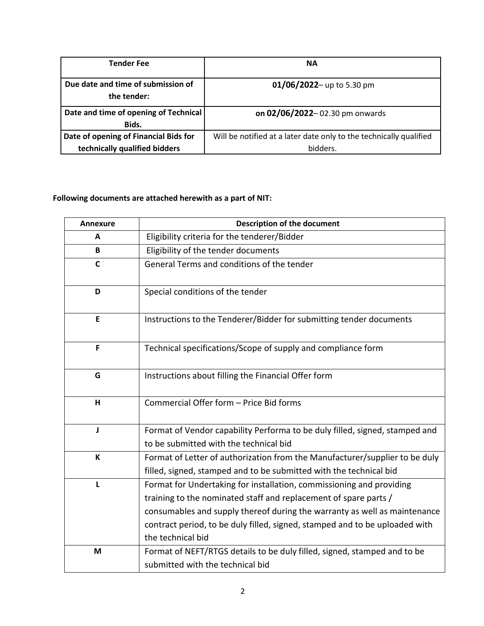| <b>Tender Fee</b>                                 | <b>NA</b>                                                          |
|---------------------------------------------------|--------------------------------------------------------------------|
| Due date and time of submission of<br>the tender: | 01/06/2022- up to 5.30 pm                                          |
| Date and time of opening of Technical             | on 02/06/2022-02.30 pm onwards                                     |
| Bids.                                             |                                                                    |
| Date of opening of Financial Bids for             | Will be notified at a later date only to the technically qualified |
| technically qualified bidders                     | bidders.                                                           |

# **Following documents are attached herewith as a part of NIT:**

| <b>Annexure</b> | <b>Description of the document</b>                                                                                                                                                                                                                                                                                        |
|-----------------|---------------------------------------------------------------------------------------------------------------------------------------------------------------------------------------------------------------------------------------------------------------------------------------------------------------------------|
| A               | Eligibility criteria for the tenderer/Bidder                                                                                                                                                                                                                                                                              |
| B               | Eligibility of the tender documents                                                                                                                                                                                                                                                                                       |
| $\mathsf{C}$    | General Terms and conditions of the tender                                                                                                                                                                                                                                                                                |
| D               | Special conditions of the tender                                                                                                                                                                                                                                                                                          |
| E               | Instructions to the Tenderer/Bidder for submitting tender documents                                                                                                                                                                                                                                                       |
| F               | Technical specifications/Scope of supply and compliance form                                                                                                                                                                                                                                                              |
| G               | Instructions about filling the Financial Offer form                                                                                                                                                                                                                                                                       |
| H               | Commercial Offer form - Price Bid forms                                                                                                                                                                                                                                                                                   |
| J               | Format of Vendor capability Performa to be duly filled, signed, stamped and<br>to be submitted with the technical bid                                                                                                                                                                                                     |
| $\mathsf K$     | Format of Letter of authorization from the Manufacturer/supplier to be duly<br>filled, signed, stamped and to be submitted with the technical bid                                                                                                                                                                         |
| L               | Format for Undertaking for installation, commissioning and providing<br>training to the nominated staff and replacement of spare parts /<br>consumables and supply thereof during the warranty as well as maintenance<br>contract period, to be duly filled, signed, stamped and to be uploaded with<br>the technical bid |
| M               | Format of NEFT/RTGS details to be duly filled, signed, stamped and to be<br>submitted with the technical bid                                                                                                                                                                                                              |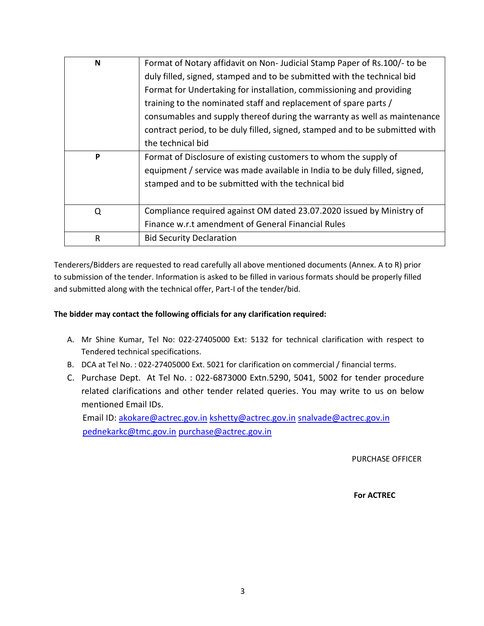| N | Format of Notary affidavit on Non-Judicial Stamp Paper of Rs.100/- to be     |  |  |  |  |  |  |
|---|------------------------------------------------------------------------------|--|--|--|--|--|--|
|   | duly filled, signed, stamped and to be submitted with the technical bid      |  |  |  |  |  |  |
|   | Format for Undertaking for installation, commissioning and providing         |  |  |  |  |  |  |
|   | training to the nominated staff and replacement of spare parts /             |  |  |  |  |  |  |
|   | consumables and supply thereof during the warranty as well as maintenance    |  |  |  |  |  |  |
|   | contract period, to be duly filled, signed, stamped and to be submitted with |  |  |  |  |  |  |
|   | the technical bid                                                            |  |  |  |  |  |  |
| P | Format of Disclosure of existing customers to whom the supply of             |  |  |  |  |  |  |
|   | equipment / service was made available in India to be duly filled, signed,   |  |  |  |  |  |  |
|   | stamped and to be submitted with the technical bid                           |  |  |  |  |  |  |
|   |                                                                              |  |  |  |  |  |  |
| Q | Compliance required against OM dated 23.07.2020 issued by Ministry of        |  |  |  |  |  |  |
|   | Finance w.r.t amendment of General Financial Rules                           |  |  |  |  |  |  |
| R | <b>Bid Security Declaration</b>                                              |  |  |  |  |  |  |

Tenderers/Bidders are requested to read carefully all above mentioned documents (Annex. A to R) prior to submission of the tender. Information is asked to be filled in various formats should be properly filled and submitted along with the technical offer, Part-I of the tender/bid.

### **The bidder may contact the following officials for any clarification required:**

- A. Mr Shine Kumar, Tel No: 022-27405000 Ext: 5132 for technical clarification with respect to Tendered technical specifications.
- B. DCA at Tel No. : 022-27405000 Ext. 5021 for clarification on commercial / financial terms.
- C. Purchase Dept. At Tel No. : 022-6873000 Extn.5290, 5041, 5002 for tender procedure related clarifications and other tender related queries. You may write to us on below mentioned Email IDs. Email ID: [akokare@actrec.gov.in](mailto:akokare@actrec.gov.in) [kshetty@actrec.gov.in](mailto:kshetty@actrec.gov.in) [snalvade@actrec.gov.in](mailto:snalvade@actrec.gov.in)

[pednekarkc@tmc.gov.in](mailto:pednekarkc@tmc.gov.in) [purchase@actrec.gov.in](mailto:purchase@actrec.gov.in)

PURCHASE OFFICER

 **For ACTREC**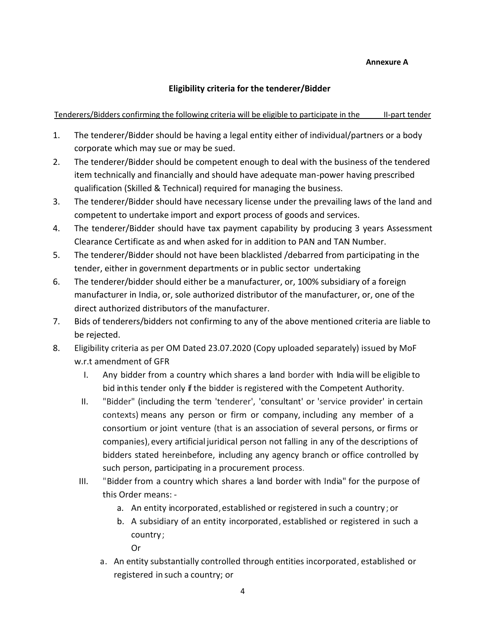### **Annexure A**

## **Eligibility criteria for the tenderer/Bidder**

## Tenderers/Bidders confirming the following criteria will be eligible to participate in the II-part tender

- 1. The tenderer/Bidder should be having a legal entity either of individual/partners or a body corporate which may sue or may be sued.
- 2. The tenderer/Bidder should be competent enough to deal with the business of the tendered item technically and financially and should have adequate man-power having prescribed qualification (Skilled & Technical) required for managing the business.
- 3. The tenderer/Bidder should have necessary license under the prevailing laws of the land and competent to undertake import and export process of goods and services.
- 4. The tenderer/Bidder should have tax payment capability by producing 3 years Assessment Clearance Certificate as and when asked for in addition to PAN and TAN Number.
- 5. The tenderer/Bidder should not have been blacklisted /debarred from participating in the tender, either in government departments or in public sector undertaking
- 6. The tenderer/bidder should either be a manufacturer, or, 100% subsidiary of a foreign manufacturer in India, or, sole authorized distributor of the manufacturer, or, one of the direct authorized distributors of the manufacturer.
- 7. Bids of tenderers/bidders not confirming to any of the above mentioned criteria are liable to be rejected.
- 8. Eligibility criteria as per OM Dated 23.07.2020 (Copy uploaded separately) issued by MoF w.r.t amendment of GFR
	- I. Any bidder from a country which shares a land border with India will be eligible to bid inthis tender only if the bidder is registered with the Competent Authority.
	- II. "Bidder" (including the term 'tenderer', 'consultant' or 'service provider' in certain contexts) means any person or firm or company, including any member of a consortium or joint venture (that is an association of several persons, or firms or companies), every artificial juridical person not falling in any of the descriptions of bidders stated hereinbefore, including any agency branch or office controlled by such person, participating in a procurement process.
	- III. "Bidder from a country which shares a land border with India" for the purpose of this Order means:
		- a. An entity incorporated, established or registered in such a country; or
		- b. A subsidiary of an entity incorporated, established or registered in such a country;
			- Or
			-
		- a. An entity substantially controlled through entities incorporated, established or registered in such a country; or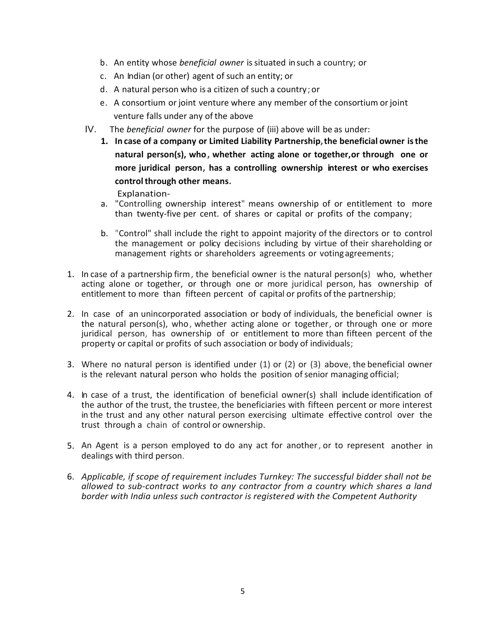- b. An entity whose *beneficial owner* issituated insuch a country; or
- c. An Indian (or other) agent of such an entity; or
- d. A natural person who is a citizen of such a country; or
- e. A consortium or joint venture where any member of the consortium orjoint venture falls under any of the above
- IV. The *beneficial owner* for the purpose of (iii) above will be as under:
	- **1. In case of a company or Limited Liability Partnership,the beneficial owner isthe natural person(s), who, whether acting alone or together,or through one or more juridical person, has a controlling ownership interest or who exercises control through other means.**

Explanation-

- a. "Controlling ownership interest" means ownership of or entitlement to more than twenty-five per cent. of shares or capital or profits of the company;
- b. "Control" shall include the right to appoint majority of the directors or to control the management or policy decisions including by virtue of their shareholding or management rights or shareholders agreements or votingagreements;
- 1. In case of a partnership firm, the beneficial owner is the natural person(s) who, whether acting alone or together, or through one or more juridical person, has ownership of entitlement to more than fifteen percent of capital or profits of the partnership;
- 2. In case of an unincorporated association or body of individuals, the beneficial owner is the natural person(s), who, whether acting alone or together, or through one or more juridical person, has ownership of or entitlement to more than fifteen percent of the property or capital or profits of such association or body of individuals;
- 3. Where no natural person is identified under (1) or (2) or (3) above, the beneficial owner is the relevant natural person who holds the position of senior managing official;
- 4. In case of a trust, the identification of beneficial owner(s) shall include identification of the author of the trust, the trustee, the beneficiaries with fifteen percent or more interest in the trust and any other natural person exercising ultimate effective control over the trust through a chain of control or ownership.
- 5. An Agent is a person employed to do any act for another, or to represent another in dealings with third person.
- 6. *Applicable, if scope of requirement includes Turnkey: The successful bidder shall not be allowed to sub-contract works to any contractor from a country which shares a land border with India unless such contractor is registered with the Competent Authority*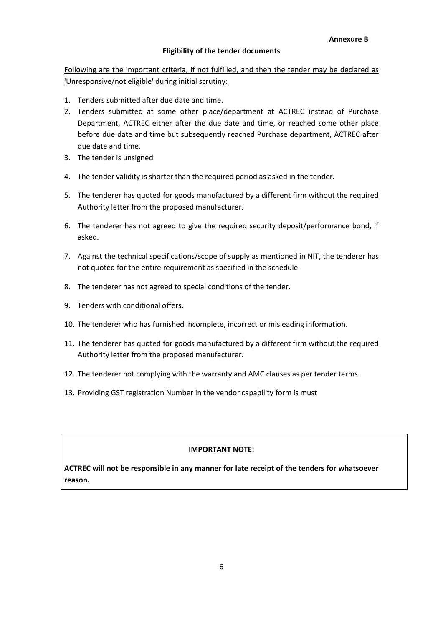### **Eligibility of the tender documents**

Following are the important criteria, if not fulfilled, and then the tender may be declared as 'Unresponsive/not eligible' during initial scrutiny:

- 1. Tenders submitted after due date and time.
- 2. Tenders submitted at some other place/department at ACTREC instead of Purchase Department, ACTREC either after the due date and time, or reached some other place before due date and time but subsequently reached Purchase department, ACTREC after due date and time.
- 3. The tender is unsigned
- 4. The tender validity is shorter than the required period as asked in the tender.
- 5. The tenderer has quoted for goods manufactured by a different firm without the required Authority letter from the proposed manufacturer.
- 6. The tenderer has not agreed to give the required security deposit/performance bond, if asked.
- 7. Against the technical specifications/scope of supply as mentioned in NIT, the tenderer has not quoted for the entire requirement as specified in the schedule.
- 8. The tenderer has not agreed to special conditions of the tender.
- 9. Tenders with conditional offers.
- 10. The tenderer who has furnished incomplete, incorrect or misleading information.
- 11. The tenderer has quoted for goods manufactured by a different firm without the required Authority letter from the proposed manufacturer.
- 12. The tenderer not complying with the warranty and AMC clauses as per tender terms.
- 13. Providing GST registration Number in the vendor capability form is must

#### **IMPORTANT NOTE:**

**ACTREC will not be responsible in any manner for late receipt of the tenders for whatsoever reason.**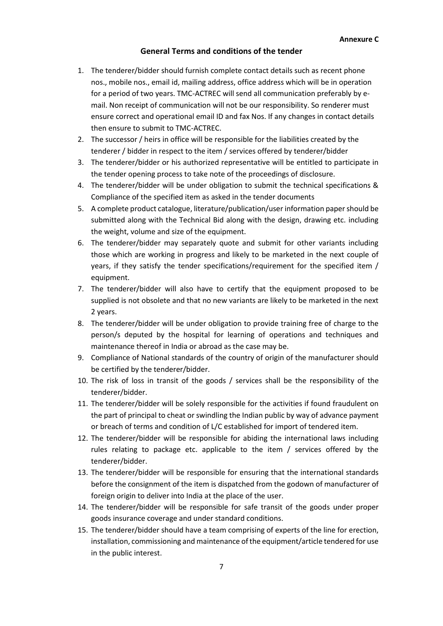### **General Terms and conditions of the tender**

- 1. The tenderer/bidder should furnish complete contact details such as recent phone nos., mobile nos., email id, mailing address, office address which will be in operation for a period of two years. TMC-ACTREC will send all communication preferably by email. Non receipt of communication will not be our responsibility. So renderer must ensure correct and operational email ID and fax Nos. If any changes in contact details then ensure to submit to TMC-ACTREC.
- 2. The successor / heirs in office will be responsible for the liabilities created by the tenderer / bidder in respect to the item / services offered by tenderer/bidder
- 3. The tenderer/bidder or his authorized representative will be entitled to participate in the tender opening process to take note of the proceedings of disclosure.
- 4. The tenderer/bidder will be under obligation to submit the technical specifications & Compliance of the specified item as asked in the tender documents
- 5. A complete product catalogue, literature/publication/user information paper should be submitted along with the Technical Bid along with the design, drawing etc. including the weight, volume and size of the equipment.
- 6. The tenderer/bidder may separately quote and submit for other variants including those which are working in progress and likely to be marketed in the next couple of years, if they satisfy the tender specifications/requirement for the specified item / equipment.
- 7. The tenderer/bidder will also have to certify that the equipment proposed to be supplied is not obsolete and that no new variants are likely to be marketed in the next 2 years.
- 8. The tenderer/bidder will be under obligation to provide training free of charge to the person/s deputed by the hospital for learning of operations and techniques and maintenance thereof in India or abroad as the case may be.
- 9. Compliance of National standards of the country of origin of the manufacturer should be certified by the tenderer/bidder.
- 10. The risk of loss in transit of the goods / services shall be the responsibility of the tenderer/bidder.
- 11. The tenderer/bidder will be solely responsible for the activities if found fraudulent on the part of principal to cheat or swindling the Indian public by way of advance payment or breach of terms and condition of L/C established for import of tendered item.
- 12. The tenderer/bidder will be responsible for abiding the international laws including rules relating to package etc. applicable to the item / services offered by the tenderer/bidder.
- 13. The tenderer/bidder will be responsible for ensuring that the international standards before the consignment of the item is dispatched from the godown of manufacturer of foreign origin to deliver into India at the place of the user.
- 14. The tenderer/bidder will be responsible for safe transit of the goods under proper goods insurance coverage and under standard conditions.
- 15. The tenderer/bidder should have a team comprising of experts of the line for erection, installation, commissioning and maintenance of the equipment/article tendered for use in the public interest.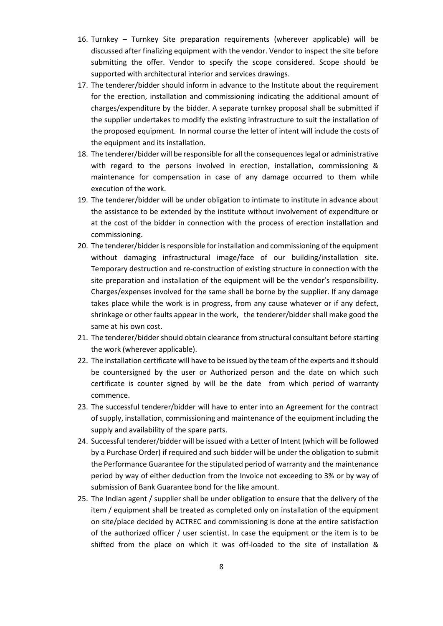- 16. Turnkey Turnkey Site preparation requirements (wherever applicable) will be discussed after finalizing equipment with the vendor. Vendor to inspect the site before submitting the offer. Vendor to specify the scope considered. Scope should be supported with architectural interior and services drawings.
- 17. The tenderer/bidder should inform in advance to the Institute about the requirement for the erection, installation and commissioning indicating the additional amount of charges/expenditure by the bidder. A separate turnkey proposal shall be submitted if the supplier undertakes to modify the existing infrastructure to suit the installation of the proposed equipment. In normal course the letter of intent will include the costs of the equipment and its installation.
- 18. The tenderer/bidder will be responsible for all the consequences legal or administrative with regard to the persons involved in erection, installation, commissioning & maintenance for compensation in case of any damage occurred to them while execution of the work.
- 19. The tenderer/bidder will be under obligation to intimate to institute in advance about the assistance to be extended by the institute without involvement of expenditure or at the cost of the bidder in connection with the process of erection installation and commissioning.
- 20. The tenderer/bidder is responsible for installation and commissioning of the equipment without damaging infrastructural image/face of our building/installation site. Temporary destruction and re-construction of existing structure in connection with the site preparation and installation of the equipment will be the vendor's responsibility. Charges/expenses involved for the same shall be borne by the supplier. If any damage takes place while the work is in progress, from any cause whatever or if any defect, shrinkage or other faults appear in the work, the tenderer/bidder shall make good the same at his own cost.
- 21. The tenderer/bidder should obtain clearance from structural consultant before starting the work (wherever applicable).
- 22. The installation certificate will have to be issued by the team of the experts and it should be countersigned by the user or Authorized person and the date on which such certificate is counter signed by will be the date from which period of warranty commence.
- 23. The successful tenderer/bidder will have to enter into an Agreement for the contract of supply, installation, commissioning and maintenance of the equipment including the supply and availability of the spare parts.
- 24. Successful tenderer/bidder will be issued with a Letter of Intent (which will be followed by a Purchase Order) if required and such bidder will be under the obligation to submit the Performance Guarantee for the stipulated period of warranty and the maintenance period by way of either deduction from the Invoice not exceeding to 3% or by way of submission of Bank Guarantee bond for the like amount.
- 25. The Indian agent / supplier shall be under obligation to ensure that the delivery of the item / equipment shall be treated as completed only on installation of the equipment on site/place decided by ACTREC and commissioning is done at the entire satisfaction of the authorized officer / user scientist. In case the equipment or the item is to be shifted from the place on which it was off-loaded to the site of installation &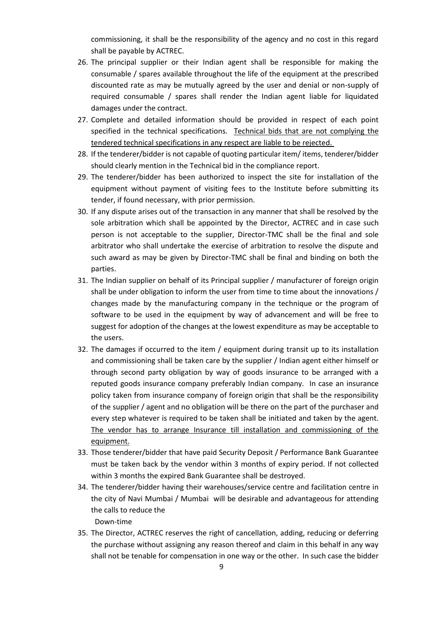commissioning, it shall be the responsibility of the agency and no cost in this regard shall be payable by ACTREC.

- 26. The principal supplier or their Indian agent shall be responsible for making the consumable / spares available throughout the life of the equipment at the prescribed discounted rate as may be mutually agreed by the user and denial or non-supply of required consumable / spares shall render the Indian agent liable for liquidated damages under the contract.
- 27. Complete and detailed information should be provided in respect of each point specified in the technical specifications. Technical bids that are not complying the tendered technical specifications in any respect are liable to be rejected.
- 28. If the tenderer/bidder is not capable of quoting particular item/ items, tenderer/bidder should clearly mention in the Technical bid in the compliance report.
- 29. The tenderer/bidder has been authorized to inspect the site for installation of the equipment without payment of visiting fees to the Institute before submitting its tender, if found necessary, with prior permission.
- 30. If any dispute arises out of the transaction in any manner that shall be resolved by the sole arbitration which shall be appointed by the Director, ACTREC and in case such person is not acceptable to the supplier, Director-TMC shall be the final and sole arbitrator who shall undertake the exercise of arbitration to resolve the dispute and such award as may be given by Director-TMC shall be final and binding on both the parties.
- 31. The Indian supplier on behalf of its Principal supplier / manufacturer of foreign origin shall be under obligation to inform the user from time to time about the innovations / changes made by the manufacturing company in the technique or the program of software to be used in the equipment by way of advancement and will be free to suggest for adoption of the changes at the lowest expenditure as may be acceptable to the users.
- 32. The damages if occurred to the item / equipment during transit up to its installation and commissioning shall be taken care by the supplier / Indian agent either himself or through second party obligation by way of goods insurance to be arranged with a reputed goods insurance company preferably Indian company. In case an insurance policy taken from insurance company of foreign origin that shall be the responsibility of the supplier / agent and no obligation will be there on the part of the purchaser and every step whatever is required to be taken shall be initiated and taken by the agent. The vendor has to arrange Insurance till installation and commissioning of the equipment.
- 33. Those tenderer/bidder that have paid Security Deposit / Performance Bank Guarantee must be taken back by the vendor within 3 months of expiry period. If not collected within 3 months the expired Bank Guarantee shall be destroyed.
- 34. The tenderer/bidder having their warehouses/service centre and facilitation centre in the city of Navi Mumbai / Mumbai will be desirable and advantageous for attending the calls to reduce the

Down-time

35. The Director, ACTREC reserves the right of cancellation, adding, reducing or deferring the purchase without assigning any reason thereof and claim in this behalf in any way shall not be tenable for compensation in one way or the other. In such case the bidder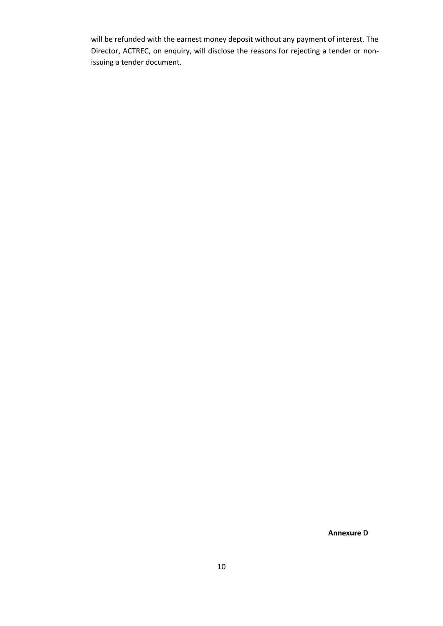will be refunded with the earnest money deposit without any payment of interest. The Director, ACTREC, on enquiry, will disclose the reasons for rejecting a tender or nonissuing a tender document.

**Annexure D**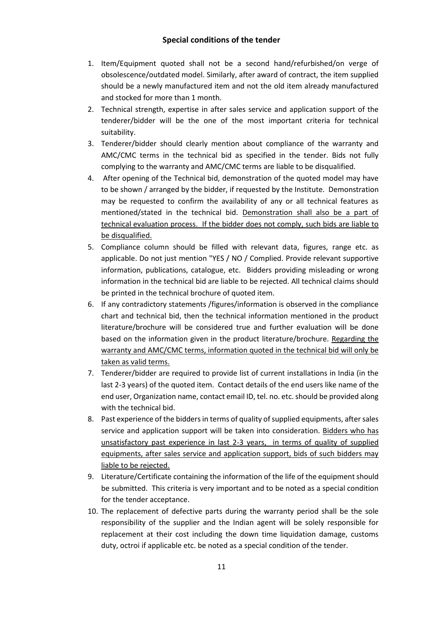- 1. Item/Equipment quoted shall not be a second hand/refurbished/on verge of obsolescence/outdated model. Similarly, after award of contract, the item supplied should be a newly manufactured item and not the old item already manufactured and stocked for more than 1 month.
- 2. Technical strength, expertise in after sales service and application support of the tenderer/bidder will be the one of the most important criteria for technical suitability.
- 3. Tenderer/bidder should clearly mention about compliance of the warranty and AMC/CMC terms in the technical bid as specified in the tender. Bids not fully complying to the warranty and AMC/CMC terms are liable to be disqualified.
- 4. After opening of the Technical bid, demonstration of the quoted model may have to be shown / arranged by the bidder, if requested by the Institute. Demonstration may be requested to confirm the availability of any or all technical features as mentioned/stated in the technical bid. Demonstration shall also be a part of technical evaluation process. If the bidder does not comply, such bids are liable to be disqualified.
- 5. Compliance column should be filled with relevant data, figures, range etc. as applicable. Do not just mention "YES / NO / Complied. Provide relevant supportive information, publications, catalogue, etc. Bidders providing misleading or wrong information in the technical bid are liable to be rejected. All technical claims should be printed in the technical brochure of quoted item.
- 6. If any contradictory statements /figures/information is observed in the compliance chart and technical bid, then the technical information mentioned in the product literature/brochure will be considered true and further evaluation will be done based on the information given in the product literature/brochure. Regarding the warranty and AMC/CMC terms, information quoted in the technical bid will only be taken as valid terms.
- 7. Tenderer/bidder are required to provide list of current installations in India (in the last 2-3 years) of the quoted item. Contact details of the end users like name of the end user, Organization name, contact email ID, tel. no. etc. should be provided along with the technical bid.
- 8. Past experience of the bidders in terms of quality of supplied equipments, after sales service and application support will be taken into consideration. Bidders who has unsatisfactory past experience in last 2-3 years, in terms of quality of supplied equipments, after sales service and application support, bids of such bidders may liable to be rejected.
- 9. Literature/Certificate containing the information of the life of the equipment should be submitted. This criteria is very important and to be noted as a special condition for the tender acceptance.
- 10. The replacement of defective parts during the warranty period shall be the sole responsibility of the supplier and the Indian agent will be solely responsible for replacement at their cost including the down time liquidation damage, customs duty, octroi if applicable etc. be noted as a special condition of the tender.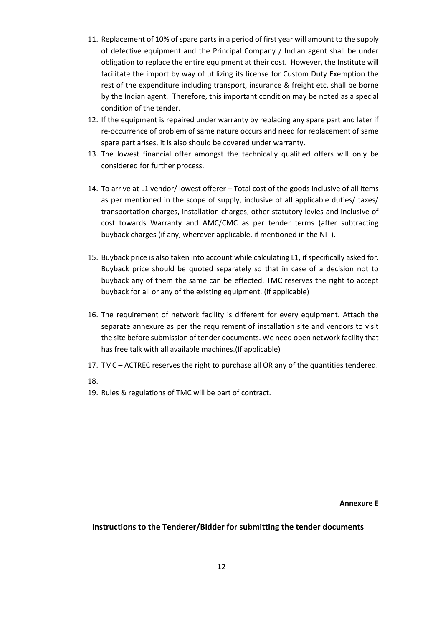- 11. Replacement of 10% of spare parts in a period of first year will amount to the supply of defective equipment and the Principal Company / Indian agent shall be under obligation to replace the entire equipment at their cost. However, the Institute will facilitate the import by way of utilizing its license for Custom Duty Exemption the rest of the expenditure including transport, insurance & freight etc. shall be borne by the Indian agent. Therefore, this important condition may be noted as a special condition of the tender.
- 12. If the equipment is repaired under warranty by replacing any spare part and later if re-occurrence of problem of same nature occurs and need for replacement of same spare part arises, it is also should be covered under warranty.
- 13. The lowest financial offer amongst the technically qualified offers will only be considered for further process.
- 14. To arrive at L1 vendor/ lowest offerer Total cost of the goods inclusive of all items as per mentioned in the scope of supply, inclusive of all applicable duties/ taxes/ transportation charges, installation charges, other statutory levies and inclusive of cost towards Warranty and AMC/CMC as per tender terms (after subtracting buyback charges (if any, wherever applicable, if mentioned in the NIT).
- 15. Buyback price is also taken into account while calculating L1, if specifically asked for. Buyback price should be quoted separately so that in case of a decision not to buyback any of them the same can be effected. TMC reserves the right to accept buyback for all or any of the existing equipment. (If applicable)
- 16. The requirement of network facility is different for every equipment. Attach the separate annexure as per the requirement of installation site and vendors to visit the site before submission of tender documents. We need open network facility that has free talk with all available machines.(If applicable)
- 17. TMC ACTREC reserves the right to purchase all OR any of the quantities tendered.
- 18.
- 19. Rules & regulations of TMC will be part of contract.

**Annexure E**

### **Instructions to the Tenderer/Bidder for submitting the tender documents**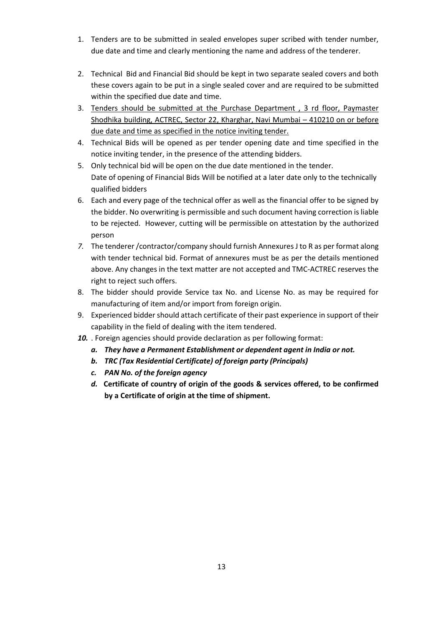- 1. Tenders are to be submitted in sealed envelopes super scribed with tender number, due date and time and clearly mentioning the name and address of the tenderer.
- 2. Technical Bid and Financial Bid should be kept in two separate sealed covers and both these covers again to be put in a single sealed cover and are required to be submitted within the specified due date and time.
- 3. Tenders should be submitted at the Purchase Department , 3 rd floor, Paymaster Shodhika building, ACTREC, Sector 22, Kharghar, Navi Mumbai – 410210 on or before due date and time as specified in the notice inviting tender.
- 4. Technical Bids will be opened as per tender opening date and time specified in the notice inviting tender, in the presence of the attending bidders.
- 5. Only technical bid will be open on the due date mentioned in the tender. Date of opening of Financial Bids Will be notified at a later date only to the technically qualified bidders
- 6. Each and every page of the technical offer as well as the financial offer to be signed by the bidder. No overwriting is permissible and such document having correction is liable to be rejected. However, cutting will be permissible on attestation by the authorized person
- *7.* The tenderer /contractor/company should furnish Annexures J to R as per format along with tender technical bid. Format of annexures must be as per the details mentioned above. Any changes in the text matter are not accepted and TMC-ACTREC reserves the right to reject such offers.
- 8. The bidder should provide Service tax No. and License No. as may be required for manufacturing of item and/or import from foreign origin.
- 9. Experienced bidder should attach certificate of their past experience in support of their capability in the field of dealing with the item tendered.
- *10.* . Foreign agencies should provide declaration as per following format:
	- *a. They have a Permanent Establishment or dependent agent in India or not.*
	- *b. TRC (Tax Residential Certificate) of foreign party (Principals)*
	- *c. PAN No. of the foreign agency*
	- *d.* **Certificate of country of origin of the goods & services offered, to be confirmed by a Certificate of origin at the time of shipment.**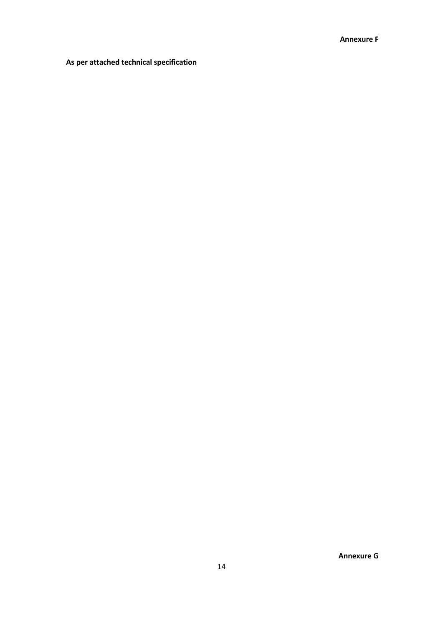## **As per attached technical specification**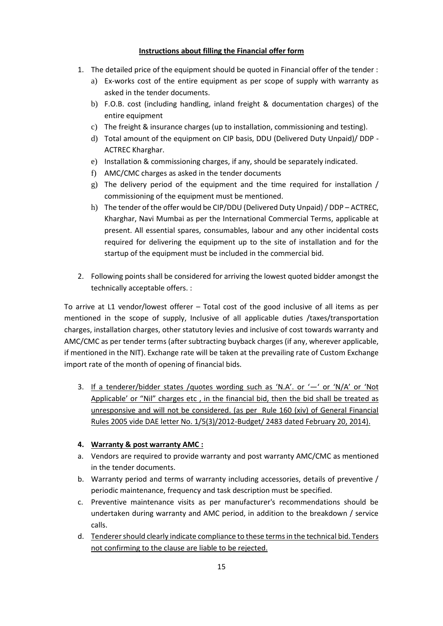### **Instructions about filling the Financial offer form**

- 1. The detailed price of the equipment should be quoted in Financial offer of the tender :
	- a) Ex-works cost of the entire equipment as per scope of supply with warranty as asked in the tender documents.
	- b) F.O.B. cost (including handling, inland freight & documentation charges) of the entire equipment
	- c) The freight & insurance charges (up to installation, commissioning and testing).
	- d) Total amount of the equipment on CIP basis, DDU (Delivered Duty Unpaid)/ DDP ACTREC Kharghar.
	- e) Installation & commissioning charges, if any, should be separately indicated.
	- f) AMC/CMC charges as asked in the tender documents
	- g) The delivery period of the equipment and the time required for installation / commissioning of the equipment must be mentioned.
	- h) The tender of the offer would be CIP/DDU (Delivered Duty Unpaid) / DDP ACTREC, Kharghar, Navi Mumbai as per the International Commercial Terms, applicable at present. All essential spares, consumables, labour and any other incidental costs required for delivering the equipment up to the site of installation and for the startup of the equipment must be included in the commercial bid.
- 2. Following points shall be considered for arriving the lowest quoted bidder amongst the technically acceptable offers. :

To arrive at L1 vendor/lowest offerer – Total cost of the good inclusive of all items as per mentioned in the scope of supply, Inclusive of all applicable duties /taxes/transportation charges, installation charges, other statutory levies and inclusive of cost towards warranty and AMC/CMC as per tender terms (after subtracting buyback charges (if any, wherever applicable, if mentioned in the NIT). Exchange rate will be taken at the prevailing rate of Custom Exchange import rate of the month of opening of financial bids.

- 3. If a tenderer/bidder states /quotes wording such as 'N.A'. or '—' or 'N/A' or 'Not Applicable' or "Nil" charges etc, in the financial bid, then the bid shall be treated as unresponsive and will not be considered. (as per Rule 160 (xiv) of General Financial Rules 2005 vide DAE letter No. 1/5(3)/2012-Budget/ 2483 dated February 20, 2014).
- **4. Warranty & post warranty AMC :**
- a. Vendors are required to provide warranty and post warranty AMC/CMC as mentioned in the tender documents.
- b. Warranty period and terms of warranty including accessories, details of preventive / periodic maintenance, frequency and task description must be specified.
- c. Preventive maintenance visits as per manufacturer's recommendations should be undertaken during warranty and AMC period, in addition to the breakdown / service calls.
- d. Tenderer should clearly indicate compliance to these terms in the technical bid. Tenders not confirming to the clause are liable to be rejected.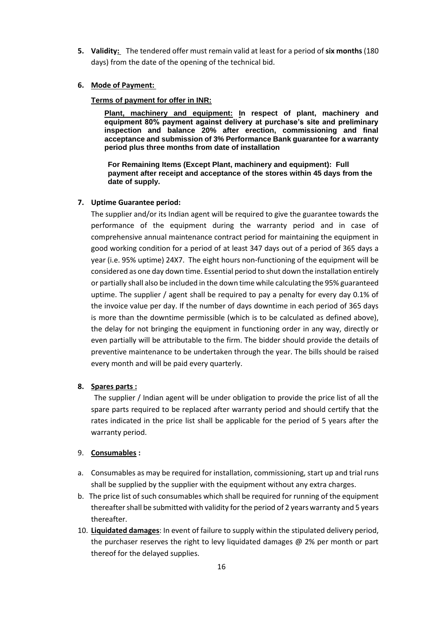**5. Validity:** The tendered offer must remain valid at least for a period of **six months**(180 days) from the date of the opening of the technical bid.

#### **6. Mode of Payment:**

#### **Terms of payment for offer in INR:**

**Plant, machinery and equipment: In respect of plant, machinery and equipment 80% payment against delivery at purchase's site and preliminary inspection and balance 20% after erection, commissioning and final acceptance and submission of 3% Performance Bank guarantee for a warranty period plus three months from date of installation**

**For Remaining Items (Except Plant, machinery and equipment): Full payment after receipt and acceptance of the stores within 45 days from the date of supply.**

#### **7. Uptime Guarantee period:**

The supplier and/or its Indian agent will be required to give the guarantee towards the performance of the equipment during the warranty period and in case of comprehensive annual maintenance contract period for maintaining the equipment in good working condition for a period of at least 347 days out of a period of 365 days a year (i.e. 95% uptime) 24X7. The eight hours non-functioning of the equipment will be considered as one day down time. Essential period to shut down the installation entirely or partially shall also be included in the down time while calculating the 95% guaranteed uptime. The supplier / agent shall be required to pay a penalty for every day 0.1% of the invoice value per day. If the number of days downtime in each period of 365 days is more than the downtime permissible (which is to be calculated as defined above), the delay for not bringing the equipment in functioning order in any way, directly or even partially will be attributable to the firm. The bidder should provide the details of preventive maintenance to be undertaken through the year. The bills should be raised every month and will be paid every quarterly.

#### **8. Spares parts :**

 The supplier / Indian agent will be under obligation to provide the price list of all the spare parts required to be replaced after warranty period and should certify that the rates indicated in the price list shall be applicable for the period of 5 years after the warranty period.

### 9. **Consumables :**

- a. Consumables as may be required for installation, commissioning, start up and trial runs shall be supplied by the supplier with the equipment without any extra charges.
- b. The price list of such consumables which shall be required for running of the equipment thereafter shall be submitted with validity for the period of 2 years warranty and 5 years thereafter.
- 10. **Liquidated damages**: In event of failure to supply within the stipulated delivery period, the purchaser reserves the right to levy liquidated damages  $\varpi$  2% per month or part thereof for the delayed supplies.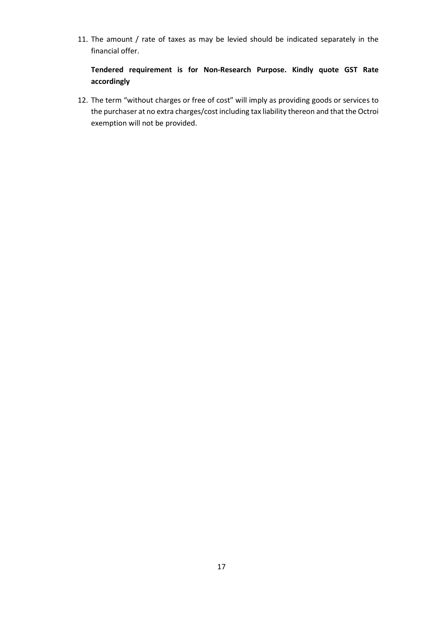11. The amount / rate of taxes as may be levied should be indicated separately in the financial offer.

## **Tendered requirement is for Non-Research Purpose. Kindly quote GST Rate accordingly**

12. The term "without charges or free of cost" will imply as providing goods or services to the purchaser at no extra charges/cost including tax liability thereon and that the Octroi exemption will not be provided.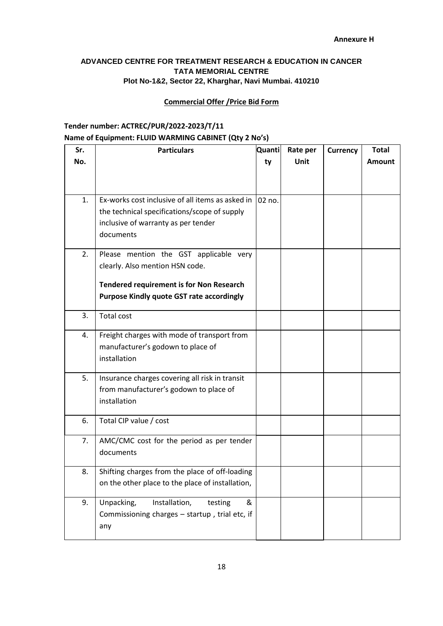## **ADVANCED CENTRE FOR TREATMENT RESEARCH & EDUCATION IN CANCER TATA MEMORIAL CENTRE Plot No-1&2, Sector 22, Kharghar, Navi Mumbai. 410210**

### **Commercial Offer /Price Bid Form**

## **Tender number: ACTREC/PUR/2022-2023/T/11 Name of Equipment: FLUID WARMING CABINET (Qty 2 No's)**

| Sr. | <b>Particulars</b>                               | Quanti | Rate per | <b>Currency</b> | <b>Total</b>  |
|-----|--------------------------------------------------|--------|----------|-----------------|---------------|
| No. |                                                  | ty     | Unit     |                 | <b>Amount</b> |
|     |                                                  |        |          |                 |               |
|     |                                                  |        |          |                 |               |
| 1.  | Ex-works cost inclusive of all items as asked in | 02 no. |          |                 |               |
|     | the technical specifications/scope of supply     |        |          |                 |               |
|     | inclusive of warranty as per tender              |        |          |                 |               |
|     | documents                                        |        |          |                 |               |
| 2.  | Please mention the GST applicable very           |        |          |                 |               |
|     | clearly. Also mention HSN code.                  |        |          |                 |               |
|     | <b>Tendered requirement is for Non Research</b>  |        |          |                 |               |
|     | <b>Purpose Kindly quote GST rate accordingly</b> |        |          |                 |               |
|     |                                                  |        |          |                 |               |
| 3.  | <b>Total cost</b>                                |        |          |                 |               |
| 4.  | Freight charges with mode of transport from      |        |          |                 |               |
|     | manufacturer's godown to place of                |        |          |                 |               |
|     | installation                                     |        |          |                 |               |
| 5.  | Insurance charges covering all risk in transit   |        |          |                 |               |
|     | from manufacturer's godown to place of           |        |          |                 |               |
|     | installation                                     |        |          |                 |               |
| 6.  | Total CIP value / cost                           |        |          |                 |               |
|     |                                                  |        |          |                 |               |
| 7.  | AMC/CMC cost for the period as per tender        |        |          |                 |               |
|     | documents                                        |        |          |                 |               |
| 8.  | Shifting charges from the place of off-loading   |        |          |                 |               |
|     | on the other place to the place of installation, |        |          |                 |               |
| 9.  | Unpacking,<br>Installation,<br>&<br>testing      |        |          |                 |               |
|     | Commissioning charges - startup, trial etc, if   |        |          |                 |               |
|     | any                                              |        |          |                 |               |
|     |                                                  |        |          |                 |               |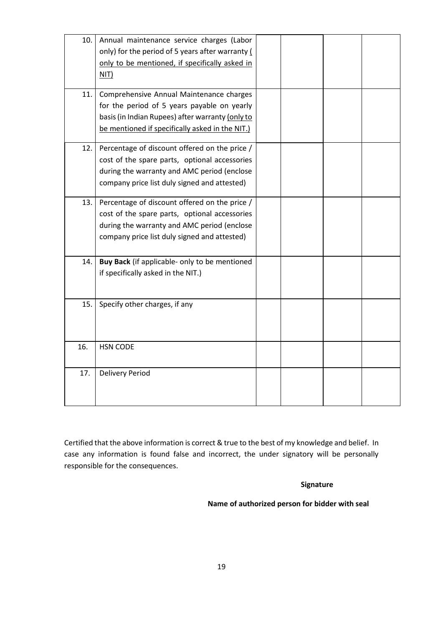| 10. | Annual maintenance service charges (Labor        |  |  |
|-----|--------------------------------------------------|--|--|
|     | only) for the period of 5 years after warranty ( |  |  |
|     | only to be mentioned, if specifically asked in   |  |  |
|     | NIT)                                             |  |  |
|     |                                                  |  |  |
| 11. | Comprehensive Annual Maintenance charges         |  |  |
|     | for the period of 5 years payable on yearly      |  |  |
|     | basis (in Indian Rupees) after warranty (only to |  |  |
|     | be mentioned if specifically asked in the NIT.)  |  |  |
| 12. | Percentage of discount offered on the price /    |  |  |
|     | cost of the spare parts, optional accessories    |  |  |
|     | during the warranty and AMC period (enclose      |  |  |
|     | company price list duly signed and attested)     |  |  |
|     |                                                  |  |  |
| 13. | Percentage of discount offered on the price /    |  |  |
|     | cost of the spare parts, optional accessories    |  |  |
|     | during the warranty and AMC period (enclose      |  |  |
|     | company price list duly signed and attested)     |  |  |
|     |                                                  |  |  |
| 14. | Buy Back (if applicable- only to be mentioned    |  |  |
|     | if specifically asked in the NIT.)               |  |  |
|     |                                                  |  |  |
|     |                                                  |  |  |
| 15. | Specify other charges, if any                    |  |  |
|     |                                                  |  |  |
|     |                                                  |  |  |
| 16. | <b>HSN CODE</b>                                  |  |  |
|     |                                                  |  |  |
| 17. | <b>Delivery Period</b>                           |  |  |
|     |                                                  |  |  |
|     |                                                  |  |  |
|     |                                                  |  |  |

Certified that the above information is correct & true to the best of my knowledge and belief. In case any information is found false and incorrect, the under signatory will be personally responsible for the consequences.

## **Signature**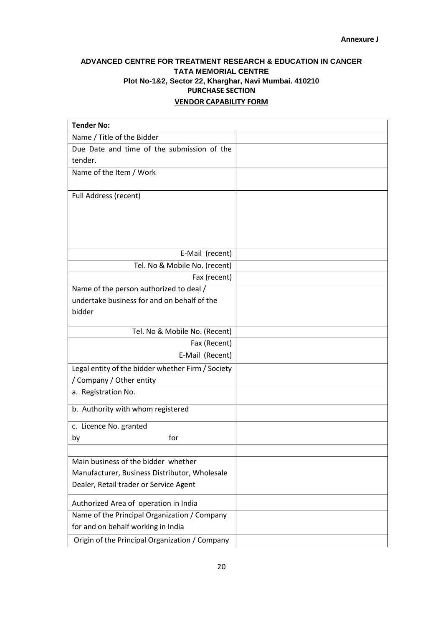## **ADVANCED CENTRE FOR TREATMENT RESEARCH & EDUCATION IN CANCER TATA MEMORIAL CENTRE Plot No-1&2, Sector 22, Kharghar, Navi Mumbai. 410210 PURCHASE SECTION VENDOR CAPABILITY FORM**

| <b>Tender No:</b>                                 |  |
|---------------------------------------------------|--|
| Name / Title of the Bidder                        |  |
| Due Date and time of the submission of the        |  |
| tender.                                           |  |
| Name of the Item / Work                           |  |
|                                                   |  |
| Full Address (recent)                             |  |
|                                                   |  |
|                                                   |  |
|                                                   |  |
|                                                   |  |
| E-Mail (recent)                                   |  |
| Tel. No & Mobile No. (recent)                     |  |
| Fax (recent)                                      |  |
| Name of the person authorized to deal /           |  |
| undertake business for and on behalf of the       |  |
| bidder                                            |  |
| Tel. No & Mobile No. (Recent)                     |  |
| Fax (Recent)                                      |  |
| E-Mail (Recent)                                   |  |
| Legal entity of the bidder whether Firm / Society |  |
| / Company / Other entity                          |  |
| a. Registration No.                               |  |
| b. Authority with whom registered                 |  |
|                                                   |  |
| c. Licence No. granted                            |  |
| for<br>by                                         |  |
|                                                   |  |
| Main business of the bidder whether               |  |
| Manufacturer, Business Distributor, Wholesale     |  |
| Dealer, Retail trader or Service Agent            |  |
| Authorized Area of operation in India             |  |
| Name of the Principal Organization / Company      |  |
| for and on behalf working in India                |  |
| Origin of the Principal Organization / Company    |  |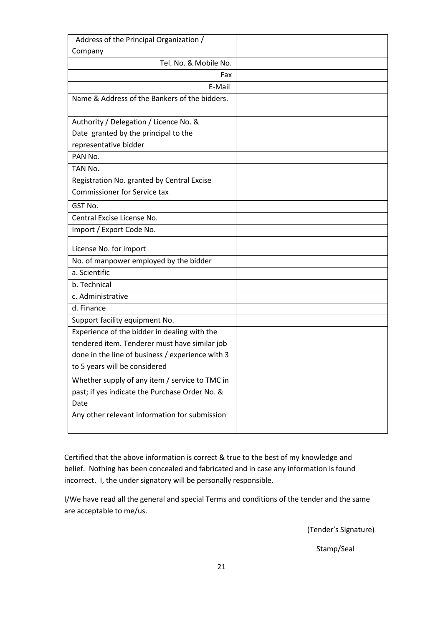| Address of the Principal Organization /          |  |
|--------------------------------------------------|--|
| Company                                          |  |
| Tel. No. & Mobile No.                            |  |
| Fax                                              |  |
| E-Mail                                           |  |
| Name & Address of the Bankers of the bidders.    |  |
|                                                  |  |
| Authority / Delegation / Licence No. &           |  |
| Date granted by the principal to the             |  |
| representative bidder                            |  |
| PAN No.                                          |  |
| TAN No.                                          |  |
| Registration No. granted by Central Excise       |  |
| <b>Commissioner for Service tax</b>              |  |
| GST No.                                          |  |
| Central Excise License No.                       |  |
| Import / Export Code No.                         |  |
| License No. for import                           |  |
| No. of manpower employed by the bidder           |  |
| a. Scientific                                    |  |
| b. Technical                                     |  |
| c. Administrative                                |  |
| d. Finance                                       |  |
| Support facility equipment No.                   |  |
| Experience of the bidder in dealing with the     |  |
| tendered item. Tenderer must have similar job    |  |
| done in the line of business / experience with 3 |  |
| to 5 years will be considered                    |  |
| Whether supply of any item / service to TMC in   |  |
| past; if yes indicate the Purchase Order No. &   |  |
| Date                                             |  |
| Any other relevant information for submission    |  |
|                                                  |  |

Certified that the above information is correct & true to the best of my knowledge and belief. Nothing has been concealed and fabricated and in case any information is found incorrect. I, the under signatory will be personally responsible.

I/We have read all the general and special Terms and conditions of the tender and the same are acceptable to me/us.

(Tender's Signature)

Stamp/Seal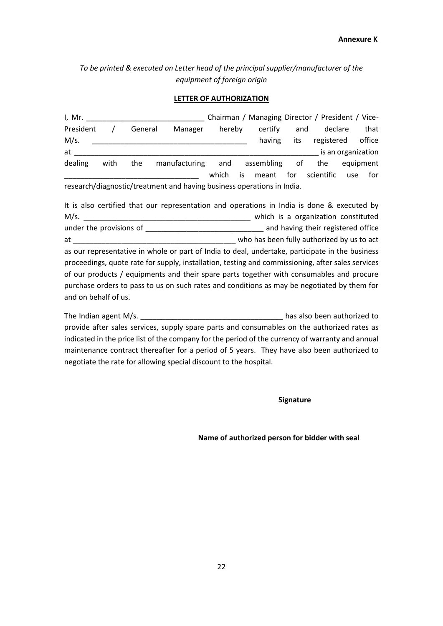*To be printed & executed on Letter head of the principal supplier/manufacturer of the equipment of foreign origin*

#### **LETTER OF AUTHORIZATION**

I, Mr. \_\_\_\_\_\_\_\_\_\_\_\_\_\_\_\_\_\_\_\_\_\_\_\_\_\_\_\_\_ Chairman / Managing Director / President / Vice-President / General Manager hereby certify and declare that M/s. The contract of the contract of the contract of the contract of the contract of the contract of the contract of the contract of the contract of the contract of the contract of the contract of the contract of the contr at the contraction of the contraction of the contraction of the contraction of the contraction of the contraction dealing with the manufacturing and assembling of the equipment which is meant for scientific use for research/diagnostic/treatment and having business operations in India.

It is also certified that our representation and operations in India is done & executed by M/s. \_\_\_\_\_\_\_\_\_\_\_\_\_\_\_\_\_\_\_\_\_\_\_\_\_\_\_\_\_\_\_\_\_\_\_\_\_\_\_\_\_ which is a organization constituted under the provisions of \_\_\_\_\_\_\_\_\_\_\_\_\_\_\_\_\_\_\_\_\_\_\_\_\_\_\_\_\_ and having their registered office at and the state of the state of the state of the state of the state of the state of the state of the state of the state of the state of the state of the state of the state of the state of the state of the state of the sta as our representative in whole or part of India to deal, undertake, participate in the business proceedings, quote rate for supply, installation, testing and commissioning, after sales services of our products / equipments and their spare parts together with consumables and procure purchase orders to pass to us on such rates and conditions as may be negotiated by them for and on behalf of us.

The Indian agent M/s. \_\_\_\_\_\_\_\_\_\_\_\_\_\_\_\_\_\_\_\_\_\_\_\_\_\_\_\_\_\_\_\_\_\_\_ has also been authorized to provide after sales services, supply spare parts and consumables on the authorized rates as indicated in the price list of the company for the period of the currency of warranty and annual maintenance contract thereafter for a period of 5 years. They have also been authorized to negotiate the rate for allowing special discount to the hospital.

**Signature**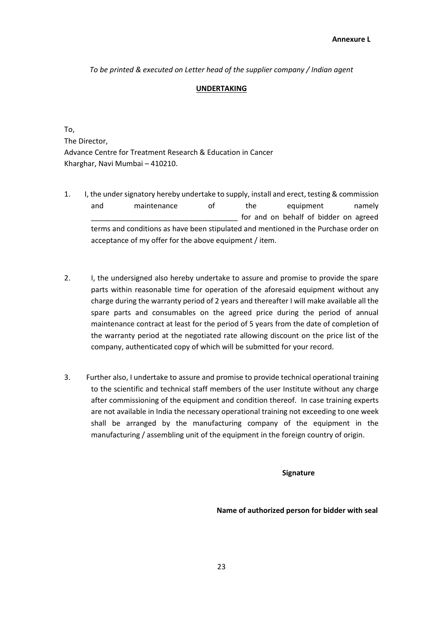*To be printed & executed on Letter head of the supplier company / Indian agent*

### **UNDERTAKING**

To, The Director, Advance Centre for Treatment Research & Education in Cancer Kharghar, Navi Mumbai – 410210.

- 1. I, the under signatory hereby undertake to supply, install and erect, testing & commission and maintenance of the equipment namely for and on behalf of bidder on agreed terms and conditions as have been stipulated and mentioned in the Purchase order on acceptance of my offer for the above equipment / item.
- 2. I, the undersigned also hereby undertake to assure and promise to provide the spare parts within reasonable time for operation of the aforesaid equipment without any charge during the warranty period of 2 years and thereafter I will make available all the spare parts and consumables on the agreed price during the period of annual maintenance contract at least for the period of 5 years from the date of completion of the warranty period at the negotiated rate allowing discount on the price list of the company, authenticated copy of which will be submitted for your record.
- 3. Further also, I undertake to assure and promise to provide technical operational training to the scientific and technical staff members of the user Institute without any charge after commissioning of the equipment and condition thereof. In case training experts are not available in India the necessary operational training not exceeding to one week shall be arranged by the manufacturing company of the equipment in the manufacturing / assembling unit of the equipment in the foreign country of origin.

**Signature**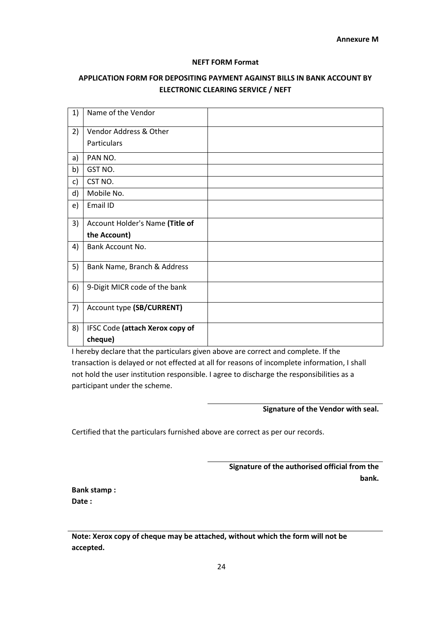#### **NEFT FORM Format**

## **APPLICATION FORM FOR DEPOSITING PAYMENT AGAINST BILLS IN BANK ACCOUNT BY ELECTRONIC CLEARING SERVICE / NEFT**

| 1) | Name of the Vendor              |  |
|----|---------------------------------|--|
| 2) | Vendor Address & Other          |  |
|    | Particulars                     |  |
| a) | PAN NO.                         |  |
| b) | GST NO.                         |  |
| c) | CST NO.                         |  |
| d) | Mobile No.                      |  |
| e) | Email ID                        |  |
| 3) | Account Holder's Name (Title of |  |
|    | the Account)                    |  |
|    |                                 |  |
| 4) | Bank Account No.                |  |
| 5) | Bank Name, Branch & Address     |  |
| 6) | 9-Digit MICR code of the bank   |  |
| 7) | Account type (SB/CURRENT)       |  |
| 8) | IFSC Code (attach Xerox copy of |  |

I hereby declare that the particulars given above are correct and complete. If the transaction is delayed or not effected at all for reasons of incomplete information, I shall not hold the user institution responsible. I agree to discharge the responsibilities as a participant under the scheme.

### **Signature of the Vendor with seal.**

Certified that the particulars furnished above are correct as per our records.

**Signature of the authorised official from the bank.**

**Bank stamp : Date :**

**Note: Xerox copy of cheque may be attached, without which the form will not be accepted.**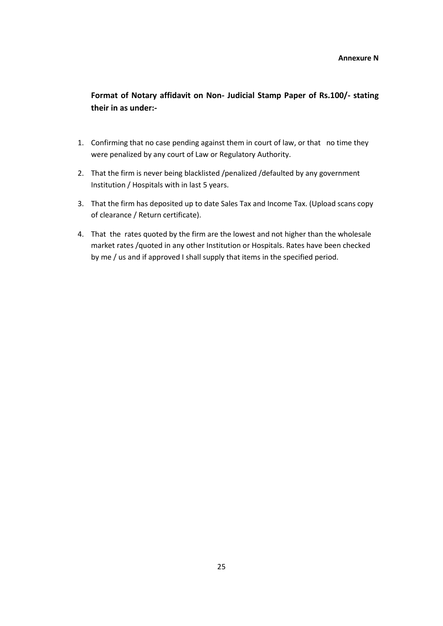**Format of Notary affidavit on Non- Judicial Stamp Paper of Rs.100/- stating their in as under:-**

- 1. Confirming that no case pending against them in court of law, or that no time they were penalized by any court of Law or Regulatory Authority.
- 2. That the firm is never being blacklisted /penalized /defaulted by any government Institution / Hospitals with in last 5 years.
- 3. That the firm has deposited up to date Sales Tax and Income Tax. (Upload scans copy of clearance / Return certificate).
- 4. That the rates quoted by the firm are the lowest and not higher than the wholesale market rates /quoted in any other Institution or Hospitals. Rates have been checked by me / us and if approved I shall supply that items in the specified period.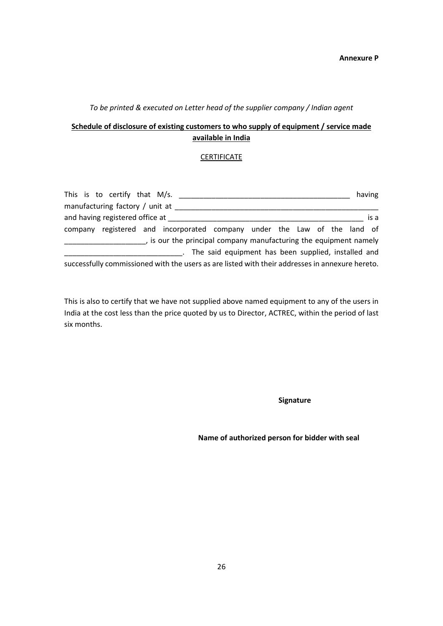### *To be printed & executed on Letter head of the supplier company / Indian agent*

## **Schedule of disclosure of existing customers to who supply of equipment / service made available in India**

### **CERTIFICATE**

|  | This is to certify that M/s.    |                                                                                                 |                                                       |  |  |  | having |
|--|---------------------------------|-------------------------------------------------------------------------------------------------|-------------------------------------------------------|--|--|--|--------|
|  | manufacturing factory / unit at |                                                                                                 |                                                       |  |  |  |        |
|  | and having registered office at |                                                                                                 |                                                       |  |  |  | is a   |
|  |                                 | company registered and incorporated company under the Law of the land of                        |                                                       |  |  |  |        |
|  |                                 | , is our the principal company manufacturing the equipment namely                               |                                                       |  |  |  |        |
|  |                                 |                                                                                                 | . The said equipment has been supplied, installed and |  |  |  |        |
|  |                                 | successfully commissioned with the users as are listed with their addresses in annexure hereto. |                                                       |  |  |  |        |

This is also to certify that we have not supplied above named equipment to any of the users in India at the cost less than the price quoted by us to Director, ACTREC, within the period of last six months.

**Signature**